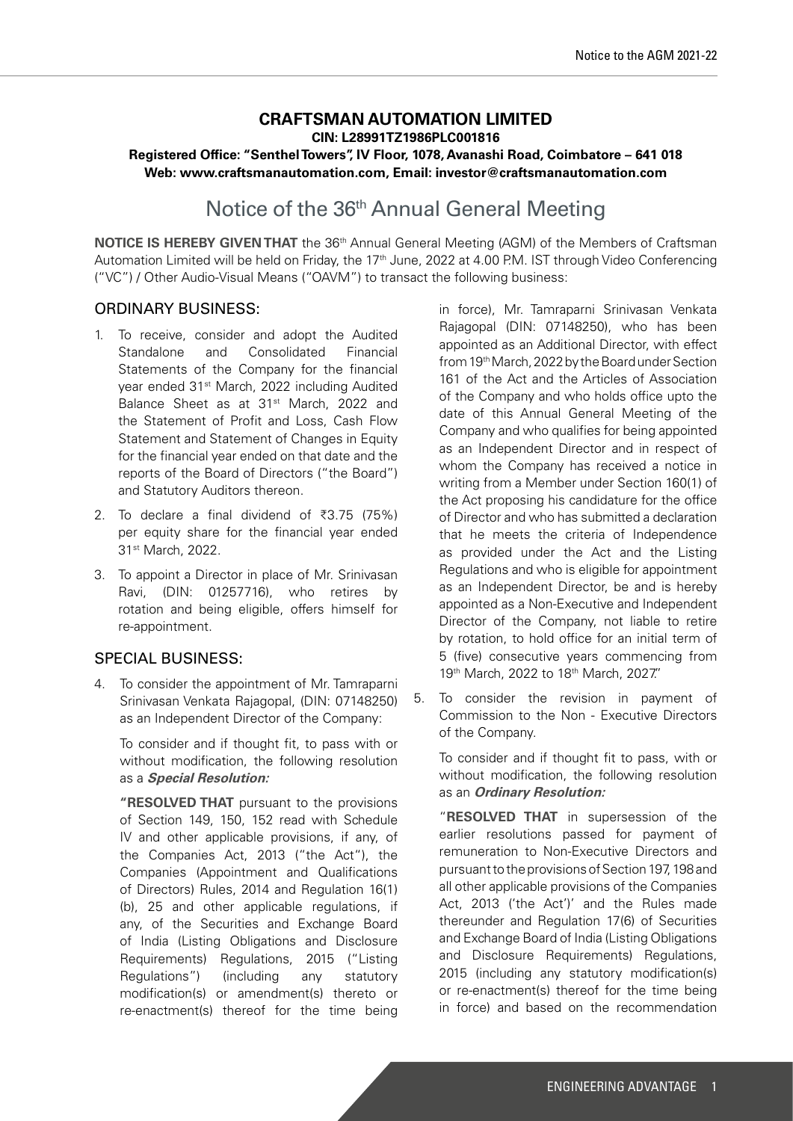## **CRAFTSMAN AUTOMATION LIMITED CIN: L28991TZ1986PLC001816 Registered Office: "Senthel Towers", IV Floor, 1078, Avanashi Road, Coimbatore – 641 018 Web: www.craftsmanautomation.com, Email: investor@craftsmanautomation.com**

# Notice of the 36th Annual General Meeting

**NOTICE IS HEREBY GIVEN THAT** the 36<sup>th</sup> Annual General Meeting (AGM) of the Members of Craftsman Automation Limited will be held on Friday, the 17<sup>th</sup> June, 2022 at 4.00 P.M. IST through Video Conferencing ("VC") / Other Audio-Visual Means ("OAVM") to transact the following business:

## ORDINARY BUSINESS:

- 1. To receive, consider and adopt the Audited Standalone and Consolidated Financial Statements of the Company for the financial year ended 31st March, 2022 including Audited Balance Sheet as at 31<sup>st</sup> March, 2022 and the Statement of Profit and Loss, Cash Flow Statement and Statement of Changes in Equity for the financial year ended on that date and the reports of the Board of Directors ("the Board") and Statutory Auditors thereon.
- 2. To declare a final dividend of  $\overline{3}3.75$  (75%) per equity share for the financial year ended 31st March, 2022.
- 3. To appoint a Director in place of Mr. Srinivasan Ravi, (DIN: 01257716), who retires by rotation and being eligible, offers himself for re-appointment.

## SPECIAL BUSINESS:

4. To consider the appointment of Mr. Tamraparni Srinivasan Venkata Rajagopal, (DIN: 07148250) as an Independent Director of the Company:

To consider and if thought fit, to pass with or without modification, the following resolution as a **Special Resolution:**

**"RESOLVED THAT** pursuant to the provisions of Section 149, 150, 152 read with Schedule IV and other applicable provisions, if any, of the Companies Act, 2013 ("the Act"), the Companies (Appointment and Qualifications of Directors) Rules, 2014 and Regulation 16(1) (b), 25 and other applicable regulations, if any, of the Securities and Exchange Board of India (Listing Obligations and Disclosure Requirements) Regulations, 2015 ("Listing Regulations") (including any statutory modification(s) or amendment(s) thereto or re-enactment(s) thereof for the time being in force), Mr. Tamraparni Srinivasan Venkata Rajagopal (DIN: 07148250), who has been appointed as an Additional Director, with effect from 19th March, 2022 by the Board under Section 161 of the Act and the Articles of Association of the Company and who holds office upto the date of this Annual General Meeting of the Company and who qualifies for being appointed as an Independent Director and in respect of whom the Company has received a notice in writing from a Member under Section 160(1) of the Act proposing his candidature for the office of Director and who has submitted a declaration that he meets the criteria of Independence as provided under the Act and the Listing Regulations and who is eligible for appointment as an Independent Director, be and is hereby appointed as a Non-Executive and Independent Director of the Company, not liable to retire by rotation, to hold office for an initial term of 5 (five) consecutive years commencing from 19th March, 2022 to 18th March, 2027."

5. To consider the revision in payment of Commission to the Non - Executive Directors of the Company.

To consider and if thought fit to pass, with or without modification, the following resolution as an **Ordinary Resolution:**

"**RESOLVED THAT** in supersession of the earlier resolutions passed for payment of remuneration to Non-Executive Directors and pursuant to the provisions of Section 197, 198 and all other applicable provisions of the Companies Act, 2013 ('the Act')' and the Rules made thereunder and Regulation 17(6) of Securities and Exchange Board of India (Listing Obligations and Disclosure Requirements) Regulations, 2015 (including any statutory modification(s) or re-enactment(s) thereof for the time being in force) and based on the recommendation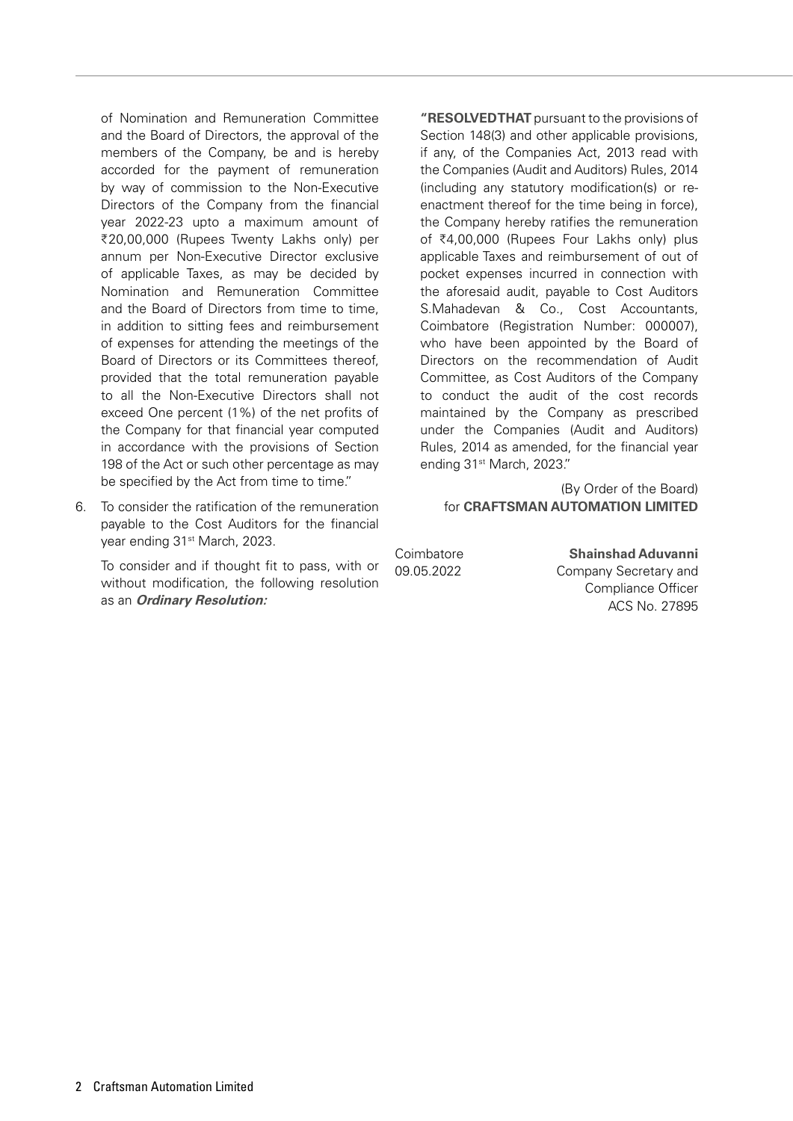of Nomination and Remuneration Committee and the Board of Directors, the approval of the members of the Company, be and is hereby accorded for the payment of remuneration by way of commission to the Non-Executive Directors of the Company from the financial year 2022-23 upto a maximum amount of ₹20,00,000 (Rupees Twenty Lakhs only) per annum per Non-Executive Director exclusive of applicable Taxes, as may be decided by Nomination and Remuneration Committee and the Board of Directors from time to time, in addition to sitting fees and reimbursement of expenses for attending the meetings of the Board of Directors or its Committees thereof, provided that the total remuneration payable to all the Non-Executive Directors shall not exceed One percent (1%) of the net profits of the Company for that financial year computed in accordance with the provisions of Section 198 of the Act or such other percentage as may be specified by the Act from time to time."

6. To consider the ratification of the remuneration payable to the Cost Auditors for the financial year ending 31<sup>st</sup> March, 2023.

To consider and if thought fit to pass, with or without modification, the following resolution as an **Ordinary Resolution:**

**"RESOLVED THAT** pursuant to the provisions of Section 148(3) and other applicable provisions, if any, of the Companies Act, 2013 read with the Companies (Audit and Auditors) Rules, 2014 (including any statutory modification(s) or reenactment thereof for the time being in force), the Company hereby ratifies the remuneration of C4,00,000 (Rupees Four Lakhs only) plus applicable Taxes and reimbursement of out of pocket expenses incurred in connection with the aforesaid audit, payable to Cost Auditors S.Mahadevan & Co., Cost Accountants, Coimbatore (Registration Number: 000007), who have been appointed by the Board of Directors on the recommendation of Audit Committee, as Cost Auditors of the Company to conduct the audit of the cost records maintained by the Company as prescribed under the Companies (Audit and Auditors) Rules, 2014 as amended, for the financial year ending 31<sup>st</sup> March, 2023."

(By Order of the Board) for **CRAFTSMAN AUTOMATION LIMITED**

Coimbatore **Shainshad Aduvanni** 09.05.2022 Company Secretary and Compliance Officer ACS No. 27895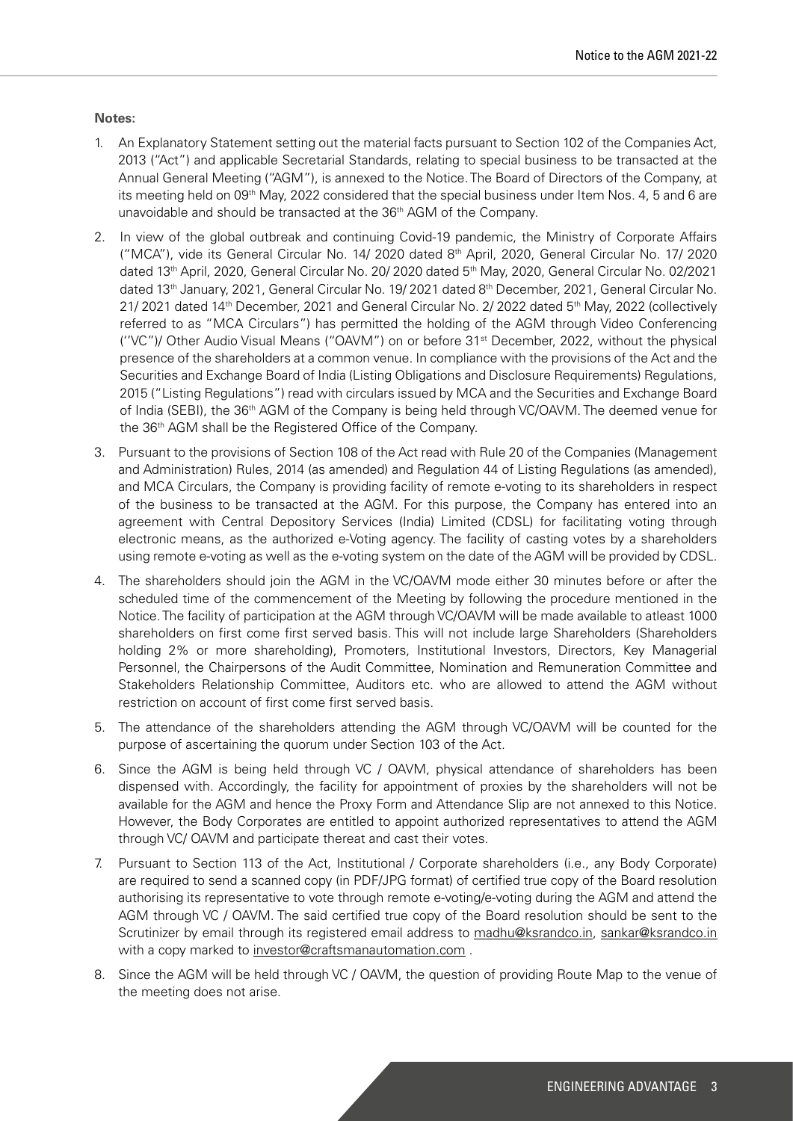#### **Notes:**

- 1. An Explanatory Statement setting out the material facts pursuant to Section 102 of the Companies Act, 2013 ("Act") and applicable Secretarial Standards, relating to special business to be transacted at the Annual General Meeting ("AGM"), is annexed to the Notice. The Board of Directors of the Company, at its meeting held on 09<sup>th</sup> May, 2022 considered that the special business under Item Nos. 4, 5 and 6 are unavoidable and should be transacted at the 36<sup>th</sup> AGM of the Company.
- 2. In view of the global outbreak and continuing Covid-19 pandemic, the Ministry of Corporate Affairs ("MCA"), vide its General Circular No. 14/ 2020 dated 8th April, 2020, General Circular No. 17/ 2020 dated 13th April, 2020, General Circular No. 20/ 2020 dated 5th May, 2020, General Circular No. 02/2021 dated 13th January, 2021, General Circular No. 19/ 2021 dated 8th December, 2021, General Circular No. 21/ 2021 dated 14<sup>th</sup> December, 2021 and General Circular No. 2/ 2022 dated 5<sup>th</sup> May, 2022 (collectively referred to as "MCA Circulars") has permitted the holding of the AGM through Video Conferencing (''VC")/ Other Audio Visual Means ("OAVM") on or before 31st December, 2022, without the physical presence of the shareholders at a common venue. In compliance with the provisions of the Act and the Securities and Exchange Board of India (Listing Obligations and Disclosure Requirements) Regulations, 2015 ("Listing Regulations") read with circulars issued by MCA and the Securities and Exchange Board of India (SEBI), the 36th AGM of the Company is being held through VC/OAVM. The deemed venue for the 36th AGM shall be the Registered Office of the Company.
- 3. Pursuant to the provisions of Section 108 of the Act read with Rule 20 of the Companies (Management and Administration) Rules, 2014 (as amended) and Regulation 44 of Listing Regulations (as amended), and MCA Circulars, the Company is providing facility of remote e-voting to its shareholders in respect of the business to be transacted at the AGM. For this purpose, the Company has entered into an agreement with Central Depository Services (India) Limited (CDSL) for facilitating voting through electronic means, as the authorized e-Voting agency. The facility of casting votes by a shareholders using remote e-voting as well as the e-voting system on the date of the AGM will be provided by CDSL.
- 4. The shareholders should join the AGM in the VC/OAVM mode either 30 minutes before or after the scheduled time of the commencement of the Meeting by following the procedure mentioned in the Notice. The facility of participation at the AGM through VC/OAVM will be made available to atleast 1000 shareholders on first come first served basis. This will not include large Shareholders (Shareholders holding 2% or more shareholding), Promoters, Institutional Investors, Directors, Key Managerial Personnel, the Chairpersons of the Audit Committee, Nomination and Remuneration Committee and Stakeholders Relationship Committee, Auditors etc. who are allowed to attend the AGM without restriction on account of first come first served basis.
- 5. The attendance of the shareholders attending the AGM through VC/OAVM will be counted for the purpose of ascertaining the quorum under Section 103 of the Act.
- 6. Since the AGM is being held through VC / OAVM, physical attendance of shareholders has been dispensed with. Accordingly, the facility for appointment of proxies by the shareholders will not be available for the AGM and hence the Proxy Form and Attendance Slip are not annexed to this Notice. However, the Body Corporates are entitled to appoint authorized representatives to attend the AGM through VC/ OAVM and participate thereat and cast their votes.
- 7. Pursuant to Section 113 of the Act, Institutional / Corporate shareholders (i.e., any Body Corporate) are required to send a scanned copy (in PDF/JPG format) of certified true copy of the Board resolution authorising its representative to vote through remote e-voting/e-voting during the AGM and attend the AGM through VC / OAVM. The said certified true copy of the Board resolution should be sent to the Scrutinizer by email through its registered email address to madhu@ksrandco.in, sankar@ksrandco.in with a copy marked to investor@craftsmanautomation.com .
- 8. Since the AGM will be held through VC / OAVM, the question of providing Route Map to the venue of the meeting does not arise.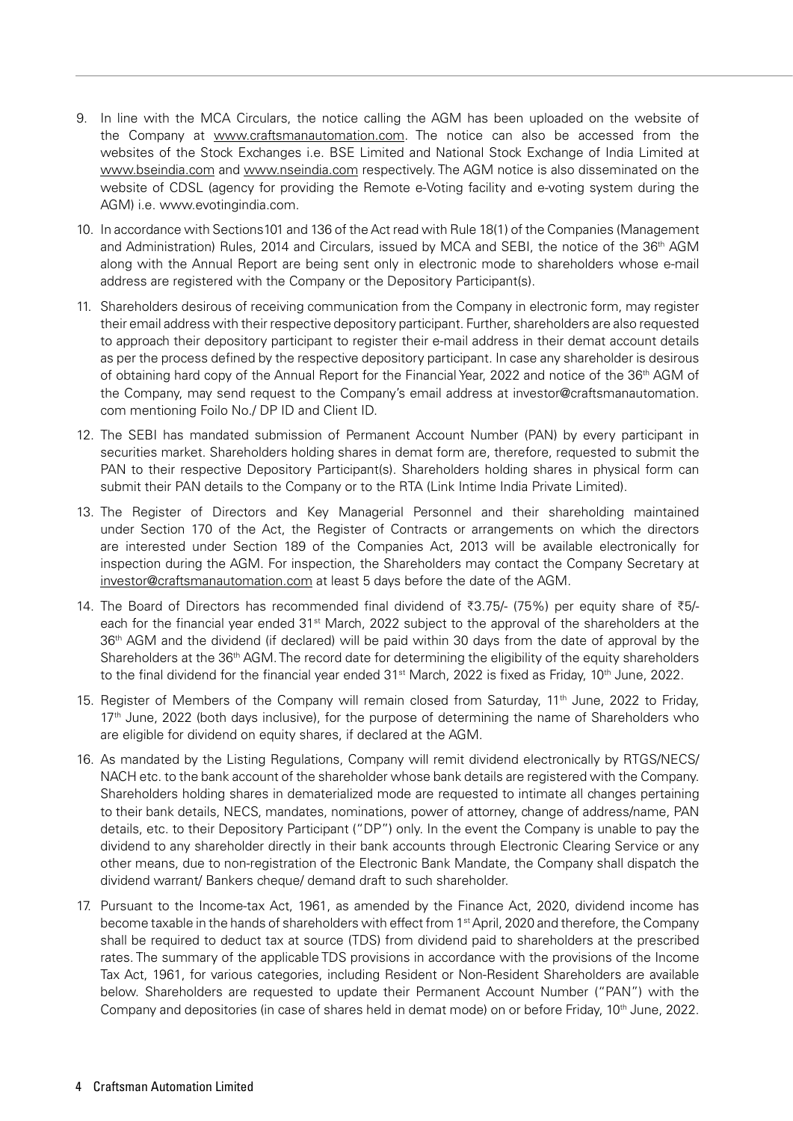- 9. In line with the MCA Circulars, the notice calling the AGM has been uploaded on the website of the Company at www.craftsmanautomation.com. The notice can also be accessed from the websites of the Stock Exchanges i.e. BSE Limited and National Stock Exchange of India Limited at www.bseindia.com and www.nseindia.com respectively. The AGM notice is also disseminated on the website of CDSL (agency for providing the Remote e-Voting facility and e-voting system during the AGM) i.e. www.evotingindia.com.
- 10. In accordance with Sections101 and 136 of the Act read with Rule 18(1) of the Companies (Management and Administration) Rules, 2014 and Circulars, issued by MCA and SEBI, the notice of the 36<sup>th</sup> AGM along with the Annual Report are being sent only in electronic mode to shareholders whose e-mail address are registered with the Company or the Depository Participant(s).
- 11. Shareholders desirous of receiving communication from the Company in electronic form, may register their email address with their respective depository participant. Further, shareholders are also requested to approach their depository participant to register their e-mail address in their demat account details as per the process defined by the respective depository participant. In case any shareholder is desirous of obtaining hard copy of the Annual Report for the Financial Year, 2022 and notice of the 36th AGM of the Company, may send request to the Company's email address at investor@craftsmanautomation. com mentioning Foilo No./ DP ID and Client ID.
- 12. The SEBI has mandated submission of Permanent Account Number (PAN) by every participant in securities market. Shareholders holding shares in demat form are, therefore, requested to submit the PAN to their respective Depository Participant(s). Shareholders holding shares in physical form can submit their PAN details to the Company or to the RTA (Link Intime India Private Limited).
- 13. The Register of Directors and Key Managerial Personnel and their shareholding maintained under Section 170 of the Act, the Register of Contracts or arrangements on which the directors are interested under Section 189 of the Companies Act, 2013 will be available electronically for inspection during the AGM. For inspection, the Shareholders may contact the Company Secretary at investor@craftsmanautomation.com at least 5 days before the date of the AGM.
- 14. The Board of Directors has recommended final dividend of  $\overline{3}3.75/-(75%)$  per equity share of  $\overline{5}5/$ each for the financial year ended 31st March, 2022 subject to the approval of the shareholders at the 36<sup>th</sup> AGM and the dividend (if declared) will be paid within 30 days from the date of approval by the Shareholders at the 36<sup>th</sup> AGM. The record date for determining the eligibility of the equity shareholders to the final dividend for the financial year ended 31<sup>st</sup> March, 2022 is fixed as Friday, 10<sup>th</sup> June, 2022.
- 15. Register of Members of the Company will remain closed from Saturday, 11<sup>th</sup> June, 2022 to Friday, 17<sup>th</sup> June, 2022 (both days inclusive), for the purpose of determining the name of Shareholders who are eligible for dividend on equity shares, if declared at the AGM.
- 16. As mandated by the Listing Regulations, Company will remit dividend electronically by RTGS/NECS/ NACH etc. to the bank account of the shareholder whose bank details are registered with the Company. Shareholders holding shares in dematerialized mode are requested to intimate all changes pertaining to their bank details, NECS, mandates, nominations, power of attorney, change of address/name, PAN details, etc. to their Depository Participant ("DP") only. In the event the Company is unable to pay the dividend to any shareholder directly in their bank accounts through Electronic Clearing Service or any other means, due to non-registration of the Electronic Bank Mandate, the Company shall dispatch the dividend warrant/ Bankers cheque/ demand draft to such shareholder.
- 17. Pursuant to the Income-tax Act, 1961, as amended by the Finance Act, 2020, dividend income has become taxable in the hands of shareholders with effect from 1st April, 2020 and therefore, the Company shall be required to deduct tax at source (TDS) from dividend paid to shareholders at the prescribed rates. The summary of the applicable TDS provisions in accordance with the provisions of the Income Tax Act, 1961, for various categories, including Resident or Non-Resident Shareholders are available below. Shareholders are requested to update their Permanent Account Number ("PAN") with the Company and depositories (in case of shares held in demat mode) on or before Friday, 10<sup>th</sup> June, 2022.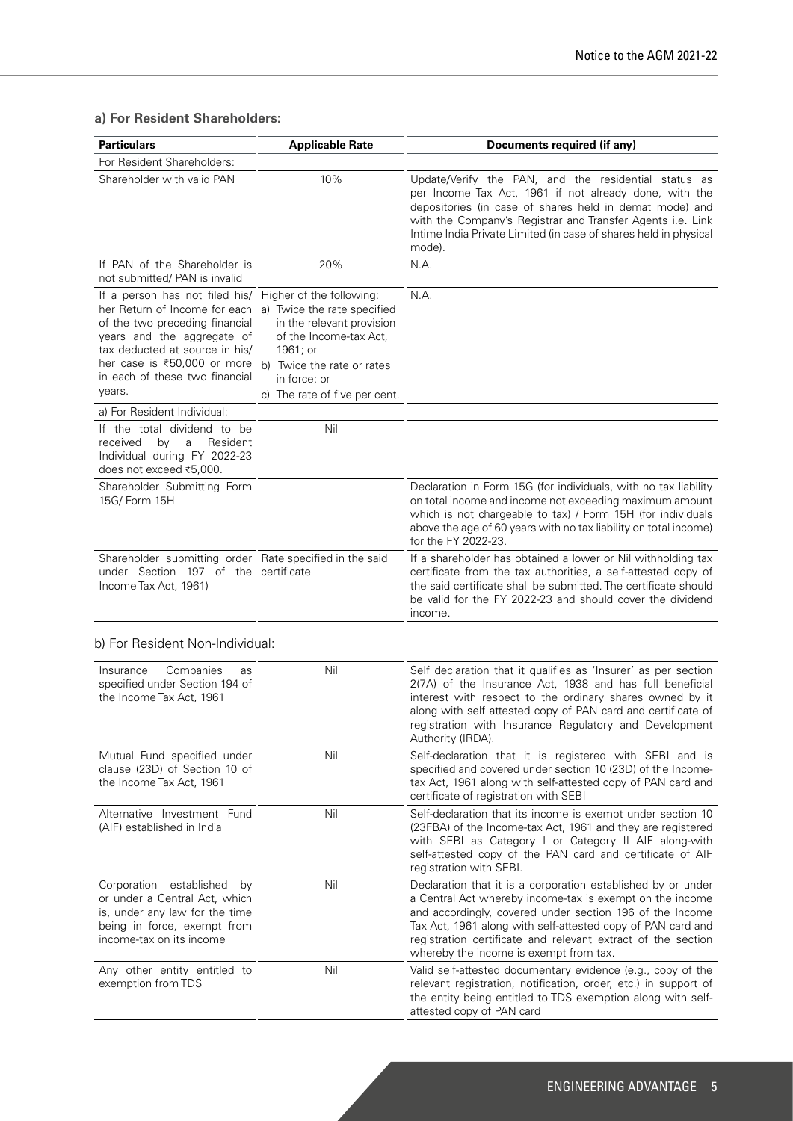## **a) For Resident Shareholders:**

| <b>Particulars</b>                                                                                                                                                                                                                                                                                                           | <b>Applicable Rate</b>                                                                                           | Documents required (if any)                                                                                                                                                                                                                                                                                                                                   |
|------------------------------------------------------------------------------------------------------------------------------------------------------------------------------------------------------------------------------------------------------------------------------------------------------------------------------|------------------------------------------------------------------------------------------------------------------|---------------------------------------------------------------------------------------------------------------------------------------------------------------------------------------------------------------------------------------------------------------------------------------------------------------------------------------------------------------|
| For Resident Shareholders:                                                                                                                                                                                                                                                                                                   |                                                                                                                  |                                                                                                                                                                                                                                                                                                                                                               |
| Shareholder with valid PAN                                                                                                                                                                                                                                                                                                   | 10%                                                                                                              | Update/Verify the PAN, and the residential status as<br>per Income Tax Act, 1961 if not already done, with the<br>depositories (in case of shares held in demat mode) and<br>with the Company's Registrar and Transfer Agents i.e. Link<br>Intime India Private Limited (in case of shares held in physical<br>mode).                                         |
| If PAN of the Shareholder is<br>not submitted/ PAN is invalid                                                                                                                                                                                                                                                                | 20%                                                                                                              | N.A.                                                                                                                                                                                                                                                                                                                                                          |
| If a person has not filed his/ Higher of the following:<br>her Return of Income for each a) Twice the rate specified<br>of the two preceding financial<br>years and the aggregate of<br>tax deducted at source in his/<br>her case is ₹50,000 or more b) Twice the rate or rates<br>in each of these two financial<br>years. | in the relevant provision<br>of the Income-tax Act,<br>1961; or<br>in force; or<br>c) The rate of five per cent. | N.A.                                                                                                                                                                                                                                                                                                                                                          |
| a) For Resident Individual:                                                                                                                                                                                                                                                                                                  |                                                                                                                  |                                                                                                                                                                                                                                                                                                                                                               |
| If the total dividend to be<br>received<br>by<br>a<br>Resident<br>Individual during FY 2022-23<br>does not exceed ₹5,000.                                                                                                                                                                                                    | Nil                                                                                                              |                                                                                                                                                                                                                                                                                                                                                               |
| Shareholder Submitting Form<br>15G/ Form 15H                                                                                                                                                                                                                                                                                 |                                                                                                                  | Declaration in Form 15G (for individuals, with no tax liability<br>on total income and income not exceeding maximum amount<br>which is not chargeable to tax) / Form 15H (for individuals<br>above the age of 60 years with no tax liability on total income)<br>for the FY 2022-23.                                                                          |
| Shareholder submitting order Rate specified in the said<br>under Section 197 of the certificate<br>Income Tax Act, 1961)                                                                                                                                                                                                     |                                                                                                                  | If a shareholder has obtained a lower or Nil withholding tax<br>certificate from the tax authorities, a self-attested copy of<br>the said certificate shall be submitted. The certificate should<br>be valid for the FY 2022-23 and should cover the dividend<br>income.                                                                                      |
| b) For Resident Non-Individual:                                                                                                                                                                                                                                                                                              |                                                                                                                  |                                                                                                                                                                                                                                                                                                                                                               |
| Insurance<br>Companies<br>as<br>specified under Section 194 of<br>the Income Tax Act, 1961                                                                                                                                                                                                                                   | Nil                                                                                                              | Self declaration that it qualifies as 'Insurer' as per section<br>2(7A) of the Insurance Act, 1938 and has full beneficial<br>interest with respect to the ordinary shares owned by it<br>along with self attested copy of PAN card and certificate of<br>registration with Insurance Regulatory and Development<br>Authority (IRDA).                         |
| Mutual Fund specified under<br>clause (23D) of Section 10 of<br>the Income Tax Act, 1961                                                                                                                                                                                                                                     | Nil                                                                                                              | Self-declaration that it is registered with SEBI and is<br>specified and covered under section 10 (23D) of the Income-<br>tax Act, 1961 along with self-attested copy of PAN card and<br>certificate of registration with SEBI                                                                                                                                |
| Alternative Investment Fund<br>(AIF) established in India                                                                                                                                                                                                                                                                    | Nil                                                                                                              | Self-declaration that its income is exempt under section 10<br>(23FBA) of the Income-tax Act, 1961 and they are registered<br>with SEBI as Category I or Category II AIF along-with<br>self-attested copy of the PAN card and certificate of AIF<br>registration with SEBI.                                                                                   |
| Corporation established<br>by<br>or under a Central Act, which<br>is, under any law for the time<br>being in force, exempt from<br>income-tax on its income                                                                                                                                                                  | Nil                                                                                                              | Declaration that it is a corporation established by or under<br>a Central Act whereby income-tax is exempt on the income<br>and accordingly, covered under section 196 of the Income<br>Tax Act, 1961 along with self-attested copy of PAN card and<br>registration certificate and relevant extract of the section<br>whereby the income is exempt from tax. |
| Any other entity entitled to<br>exemption from TDS                                                                                                                                                                                                                                                                           | Nil                                                                                                              | Valid self-attested documentary evidence (e.g., copy of the<br>relevant registration, notification, order, etc.) in support of<br>the entity being entitled to TDS exemption along with self-<br>attested copy of PAN card                                                                                                                                    |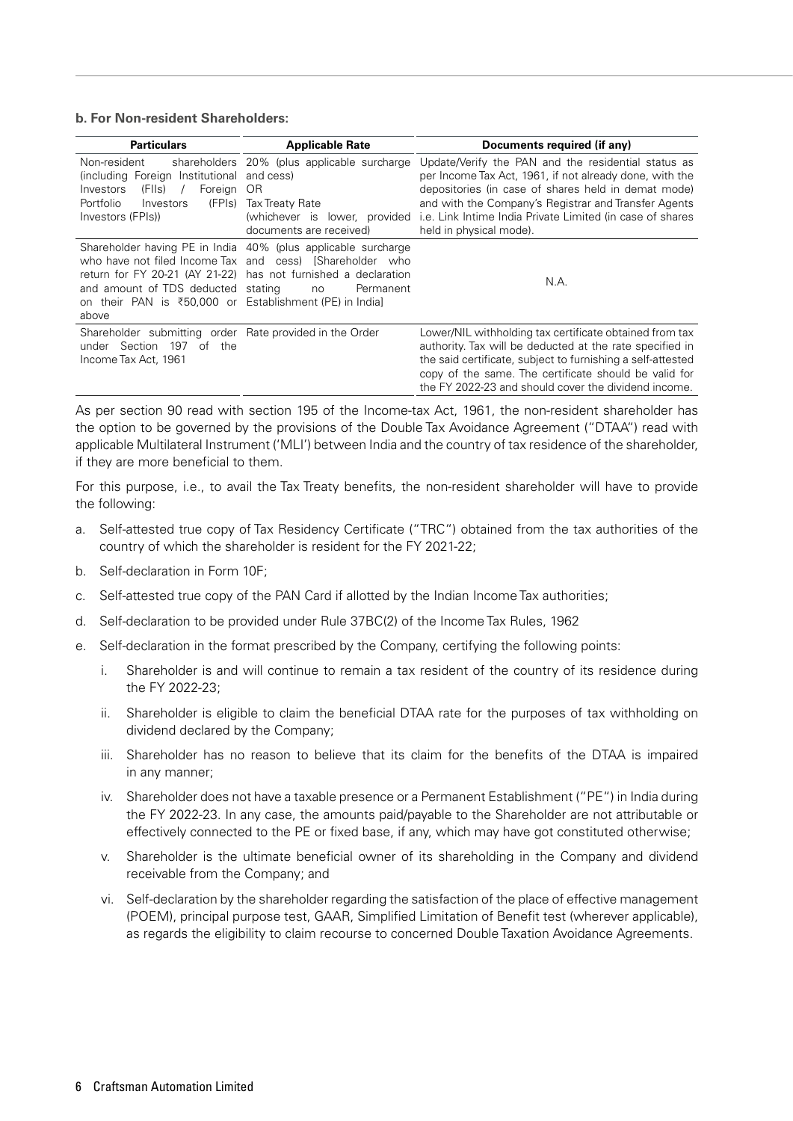#### **b. For Non-resident Shareholders:**

| <b>Particulars</b>                                                                                                                          | <b>Applicable Rate</b>                                                                                                                                                                                         | Documents required (if any)                                                                                                                                                                                                                                                                                                                         |
|---------------------------------------------------------------------------------------------------------------------------------------------|----------------------------------------------------------------------------------------------------------------------------------------------------------------------------------------------------------------|-----------------------------------------------------------------------------------------------------------------------------------------------------------------------------------------------------------------------------------------------------------------------------------------------------------------------------------------------------|
| Non-resident<br>(including Foreign Institutional<br>Investors<br>Foreign<br>(Fils)<br>Portfolio<br>(FPIs)<br>Investors<br>Investors (FPIs)) | shareholders 20% (plus applicable surcharge<br>and cess)<br>-OR<br>Tax Treaty Rate<br>documents are received)                                                                                                  | Update/Verify the PAN and the residential status as<br>per Income Tax Act, 1961, if not already done, with the<br>depositories (in case of shares held in demat mode)<br>and with the Company's Registrar and Transfer Agents<br>(whichever is lower, provided i.e. Link Intime India Private Limited (in case of shares<br>held in physical mode). |
| and amount of TDS deducted stating<br>on their PAN is ₹50,000 or Establishment (PE) in Indial<br>above                                      | Shareholder having PE in India 40% (plus applicable surcharge<br>who have not filed Income Tax and cess) [Shareholder who<br>return for FY 20-21 (AY 21-22) has not furnished a declaration<br>Permanent<br>no | N.A.                                                                                                                                                                                                                                                                                                                                                |
| Shareholder submitting order Rate provided in the Order<br>197<br>Section<br>of<br>the<br>under<br>Income Tax Act, 1961                     |                                                                                                                                                                                                                | Lower/NIL withholding tax certificate obtained from tax<br>authority. Tax will be deducted at the rate specified in<br>the said certificate, subject to furnishing a self-attested<br>copy of the same. The certificate should be valid for<br>the FY 2022-23 and should cover the dividend income.                                                 |

As per section 90 read with section 195 of the Income-tax Act, 1961, the non-resident shareholder has the option to be governed by the provisions of the Double Tax Avoidance Agreement ("DTAA") read with applicable Multilateral Instrument ('MLI') between India and the country of tax residence of the shareholder, if they are more beneficial to them.

For this purpose, i.e., to avail the Tax Treaty benefits, the non-resident shareholder will have to provide the following:

- a. Self-attested true copy of Tax Residency Certificate ("TRC") obtained from the tax authorities of the country of which the shareholder is resident for the FY 2021-22;
- b. Self-declaration in Form 10F;
- c. Self-attested true copy of the PAN Card if allotted by the Indian Income Tax authorities;
- d. Self-declaration to be provided under Rule 37BC(2) of the Income Tax Rules, 1962
- e. Self-declaration in the format prescribed by the Company, certifying the following points:
	- i. Shareholder is and will continue to remain a tax resident of the country of its residence during the FY 2022-23;
	- ii. Shareholder is eligible to claim the beneficial DTAA rate for the purposes of tax withholding on dividend declared by the Company;
	- iii. Shareholder has no reason to believe that its claim for the benefits of the DTAA is impaired in any manner;
	- iv. Shareholder does not have a taxable presence or a Permanent Establishment ("PE") in India during the FY 2022-23. In any case, the amounts paid/payable to the Shareholder are not attributable or effectively connected to the PE or fixed base, if any, which may have got constituted otherwise;
	- v. Shareholder is the ultimate beneficial owner of its shareholding in the Company and dividend receivable from the Company; and
	- vi. Self-declaration by the shareholder regarding the satisfaction of the place of effective management (POEM), principal purpose test, GAAR, Simplified Limitation of Benefit test (wherever applicable), as regards the eligibility to claim recourse to concerned Double Taxation Avoidance Agreements.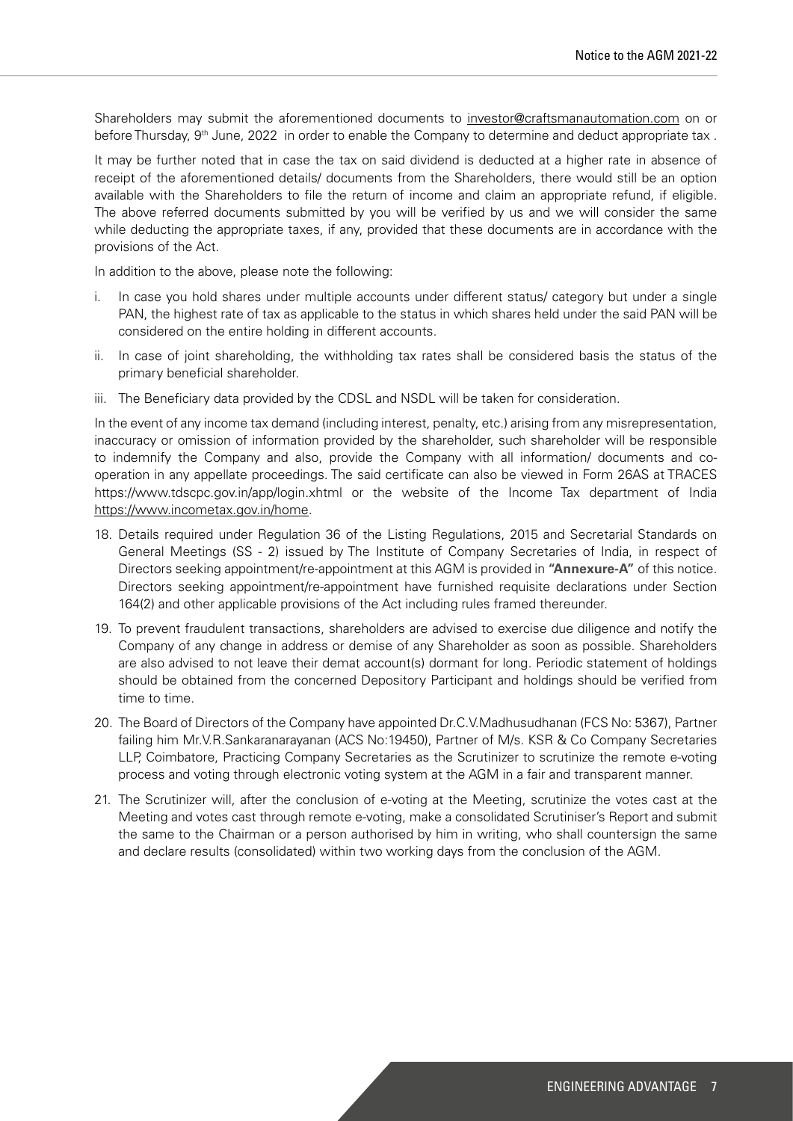Shareholders may submit the aforementioned documents to investor@craftsmanautomation.com on or before Thursday, 9<sup>th</sup> June, 2022 in order to enable the Company to determine and deduct appropriate tax.

It may be further noted that in case the tax on said dividend is deducted at a higher rate in absence of receipt of the aforementioned details/ documents from the Shareholders, there would still be an option available with the Shareholders to file the return of income and claim an appropriate refund, if eligible. The above referred documents submitted by you will be verified by us and we will consider the same while deducting the appropriate taxes, if any, provided that these documents are in accordance with the provisions of the Act.

In addition to the above, please note the following:

- i. In case you hold shares under multiple accounts under different status/ category but under a single PAN, the highest rate of tax as applicable to the status in which shares held under the said PAN will be considered on the entire holding in different accounts.
- ii. In case of joint shareholding, the withholding tax rates shall be considered basis the status of the primary beneficial shareholder.
- iii. The Beneficiary data provided by the CDSL and NSDL will be taken for consideration.

In the event of any income tax demand (including interest, penalty, etc.) arising from any misrepresentation, inaccuracy or omission of information provided by the shareholder, such shareholder will be responsible to indemnify the Company and also, provide the Company with all information/ documents and cooperation in any appellate proceedings. The said certificate can also be viewed in Form 26AS at TRACES https://www.tdscpc.gov.in/app/login.xhtml or the website of the Income Tax department of India https://www.incometax.gov.in/home.

- 18. Details required under Regulation 36 of the Listing Regulations, 2015 and Secretarial Standards on General Meetings (SS - 2) issued by The Institute of Company Secretaries of India, in respect of Directors seeking appointment/re-appointment at this AGM is provided in **"Annexure-A"** of this notice. Directors seeking appointment/re-appointment have furnished requisite declarations under Section 164(2) and other applicable provisions of the Act including rules framed thereunder.
- 19. To prevent fraudulent transactions, shareholders are advised to exercise due diligence and notify the Company of any change in address or demise of any Shareholder as soon as possible. Shareholders are also advised to not leave their demat account(s) dormant for long. Periodic statement of holdings should be obtained from the concerned Depository Participant and holdings should be verified from time to time.
- 20. The Board of Directors of the Company have appointed Dr.C.V.Madhusudhanan (FCS No: 5367), Partner failing him Mr.V.R.Sankaranarayanan (ACS No:19450), Partner of M/s. KSR & Co Company Secretaries LLP, Coimbatore, Practicing Company Secretaries as the Scrutinizer to scrutinize the remote e-voting process and voting through electronic voting system at the AGM in a fair and transparent manner.
- 21. The Scrutinizer will, after the conclusion of e-voting at the Meeting, scrutinize the votes cast at the Meeting and votes cast through remote e-voting, make a consolidated Scrutiniser's Report and submit the same to the Chairman or a person authorised by him in writing, who shall countersign the same and declare results (consolidated) within two working days from the conclusion of the AGM.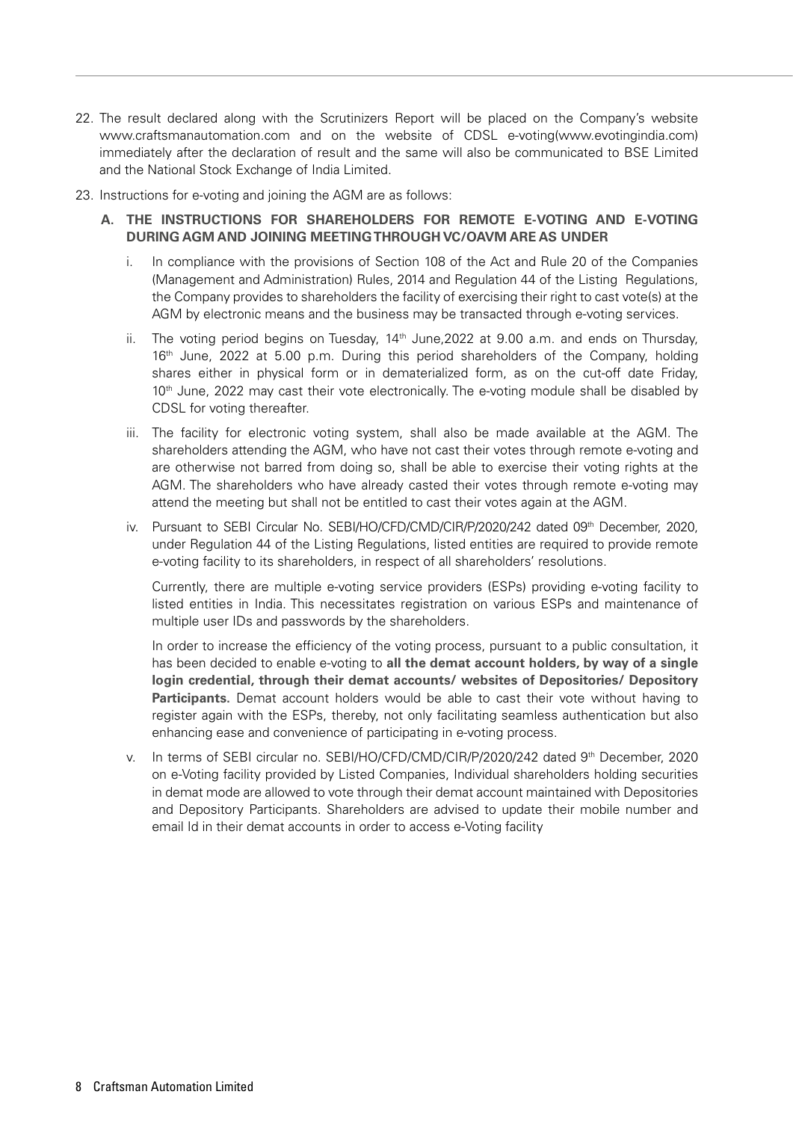- 22. The result declared along with the Scrutinizers Report will be placed on the Company's website www.craftsmanautomation.com and on the website of CDSL e-voting(www.evotingindia.com) immediately after the declaration of result and the same will also be communicated to BSE Limited and the National Stock Exchange of India Limited.
- 23. Instructions for e-voting and joining the AGM are as follows:
	- **A. THE INSTRUCTIONS FOR SHAREHOLDERS FOR REMOTE E-VOTING AND E-VOTING DURING AGM AND JOINING MEETING THROUGH VC/OAVM ARE AS UNDER**
		- i. In compliance with the provisions of Section 108 of the Act and Rule 20 of the Companies (Management and Administration) Rules, 2014 and Regulation 44 of the Listing Regulations, the Company provides to shareholders the facility of exercising their right to cast vote(s) at the AGM by electronic means and the business may be transacted through e-voting services.
		- ii. The voting period begins on Tuesday,  $14<sup>th</sup>$  June,  $2022$  at 9.00 a.m. and ends on Thursday, 16<sup>th</sup> June, 2022 at 5.00 p.m. During this period shareholders of the Company, holding shares either in physical form or in dematerialized form, as on the cut-off date Friday,  $10<sup>th</sup>$  June, 2022 may cast their vote electronically. The e-voting module shall be disabled by CDSL for voting thereafter.
		- iii. The facility for electronic voting system, shall also be made available at the AGM. The shareholders attending the AGM, who have not cast their votes through remote e-voting and are otherwise not barred from doing so, shall be able to exercise their voting rights at the AGM. The shareholders who have already casted their votes through remote e-voting may attend the meeting but shall not be entitled to cast their votes again at the AGM.
		- iv. Pursuant to SEBI Circular No. SEBI/HO/CFD/CMD/CIR/P/2020/242 dated 09<sup>th</sup> December, 2020, under Regulation 44 of the Listing Regulations, listed entities are required to provide remote e-voting facility to its shareholders, in respect of all shareholders' resolutions.

Currently, there are multiple e-voting service providers (ESPs) providing e-voting facility to listed entities in India. This necessitates registration on various ESPs and maintenance of multiple user IDs and passwords by the shareholders.

In order to increase the efficiency of the voting process, pursuant to a public consultation, it has been decided to enable e-voting to **all the demat account holders, by way of a single login credential, through their demat accounts/ websites of Depositories/ Depository Participants.** Demat account holders would be able to cast their vote without having to register again with the ESPs, thereby, not only facilitating seamless authentication but also enhancing ease and convenience of participating in e-voting process.

v. In terms of SEBI circular no. SEBI/HO/CFD/CMD/CIR/P/2020/242 dated 9th December, 2020 on e-Voting facility provided by Listed Companies, Individual shareholders holding securities in demat mode are allowed to vote through their demat account maintained with Depositories and Depository Participants. Shareholders are advised to update their mobile number and email Id in their demat accounts in order to access e-Voting facility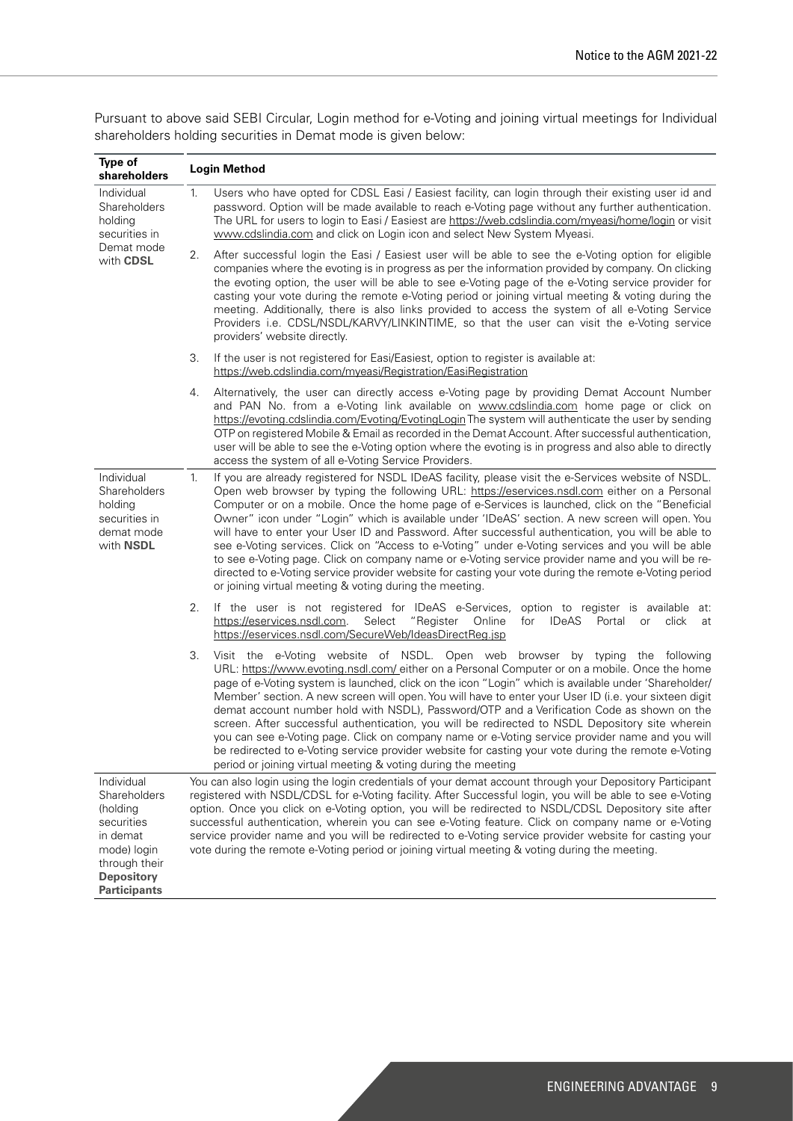| Type of<br>shareholders                                                                                                                      |             | <b>Login Method</b>                                                                                                                                                                                                                                                                                                                                                                                                                                                                                                                                                                                                                                                                                                                                                                                                                                                                            |
|----------------------------------------------------------------------------------------------------------------------------------------------|-------------|------------------------------------------------------------------------------------------------------------------------------------------------------------------------------------------------------------------------------------------------------------------------------------------------------------------------------------------------------------------------------------------------------------------------------------------------------------------------------------------------------------------------------------------------------------------------------------------------------------------------------------------------------------------------------------------------------------------------------------------------------------------------------------------------------------------------------------------------------------------------------------------------|
| Individual<br>Shareholders<br>holding<br>securities in<br>Demat mode<br>with <b>CDSL</b>                                                     | $1_{\cdot}$ | Users who have opted for CDSL Easi / Easiest facility, can login through their existing user id and<br>password. Option will be made available to reach e-Voting page without any further authentication.<br>The URL for users to login to Easi / Easiest are https://web.cdslindia.com/myeasi/home/login or visit<br>www.cdslindia.com and click on Login icon and select New System Myeasi.                                                                                                                                                                                                                                                                                                                                                                                                                                                                                                  |
|                                                                                                                                              | 2.          | After successful login the Easi / Easiest user will be able to see the e-Voting option for eligible<br>companies where the evoting is in progress as per the information provided by company. On clicking<br>the evoting option, the user will be able to see e-Voting page of the e-Voting service provider for<br>casting your vote during the remote e-Voting period or joining virtual meeting & voting during the<br>meeting. Additionally, there is also links provided to access the system of all e-Voting Service<br>Providers i.e. CDSL/NSDL/KARVY/LINKINTIME, so that the user can visit the e-Voting service<br>providers' website directly.                                                                                                                                                                                                                                       |
|                                                                                                                                              | З.          | If the user is not registered for Easi/Easiest, option to register is available at:<br>https://web.cdslindia.com/myeasi/Registration/EasiRegistration                                                                                                                                                                                                                                                                                                                                                                                                                                                                                                                                                                                                                                                                                                                                          |
|                                                                                                                                              | 4.          | Alternatively, the user can directly access e-Voting page by providing Demat Account Number<br>and PAN No. from a e-Voting link available on www.cdslindia.com home page or click on<br>https://evoting.cdslindia.com/Evoting/EvotingLogin The system will authenticate the user by sending<br>OTP on registered Mobile & Email as recorded in the Demat Account. After successful authentication,<br>user will be able to see the e-Voting option where the evoting is in progress and also able to directly<br>access the system of all e-Voting Service Providers.                                                                                                                                                                                                                                                                                                                          |
| Individual<br>Shareholders<br>holding<br>securities in<br>demat mode<br>with NSDL                                                            | 1.          | If you are already registered for NSDL IDeAS facility, please visit the e-Services website of NSDL.<br>Open web browser by typing the following URL: https://eservices.nsdl.com either on a Personal<br>Computer or on a mobile. Once the home page of e-Services is launched, click on the "Beneficial<br>Owner" icon under "Login" which is available under 'IDeAS' section. A new screen will open. You<br>will have to enter your User ID and Password. After successful authentication, you will be able to<br>see e-Voting services. Click on "Access to e-Voting" under e-Voting services and you will be able<br>to see e-Voting page. Click on company name or e-Voting service provider name and you will be re-<br>directed to e-Voting service provider website for casting your vote during the remote e-Voting period<br>or joining virtual meeting & voting during the meeting. |
|                                                                                                                                              | 2.          | If the user is not registered for IDeAS e-Services, option to register is available at:<br>Select<br>https://eservices.nsdl.com.<br>"Register Online<br>for<br><b>IDeAS</b><br>Portal<br>click<br>or<br>at<br>https://eservices.nsdl.com/SecureWeb/IdeasDirectReg.jsp                                                                                                                                                                                                                                                                                                                                                                                                                                                                                                                                                                                                                          |
|                                                                                                                                              | 3.          | Visit the e-Voting website of NSDL. Open web browser by typing the following<br>URL: https://www.evoting.nsdl.com/ either on a Personal Computer or on a mobile. Once the home<br>page of e-Voting system is launched, click on the icon "Login" which is available under 'Shareholder/<br>Member' section. A new screen will open. You will have to enter your User ID (i.e. your sixteen digit<br>demat account number hold with NSDL), Password/OTP and a Verification Code as shown on the<br>screen. After successful authentication, you will be redirected to NSDL Depository site wherein<br>you can see e-Voting page. Click on company name or e-Voting service provider name and you will<br>be redirected to e-Voting service provider website for casting your vote during the remote e-Voting<br>period or joining virtual meeting & voting during the meeting                   |
| Individual<br>Shareholders<br>(holding<br>securities<br>in demat<br>mode) login<br>through their<br><b>Depository</b><br><b>Participants</b> |             | You can also login using the login credentials of your demat account through your Depository Participant<br>registered with NSDL/CDSL for e-Voting facility. After Successful login, you will be able to see e-Voting<br>option. Once you click on e-Voting option, you will be redirected to NSDL/CDSL Depository site after<br>successful authentication, wherein you can see e-Voting feature. Click on company name or e-Voting<br>service provider name and you will be redirected to e-Voting service provider website for casting your<br>vote during the remote e-Voting period or joining virtual meeting & voting during the meeting.                                                                                                                                                                                                                                                |

Pursuant to above said SEBI Circular, Login method for e-Voting and joining virtual meetings for Individual shareholders holding securities in Demat mode is given below: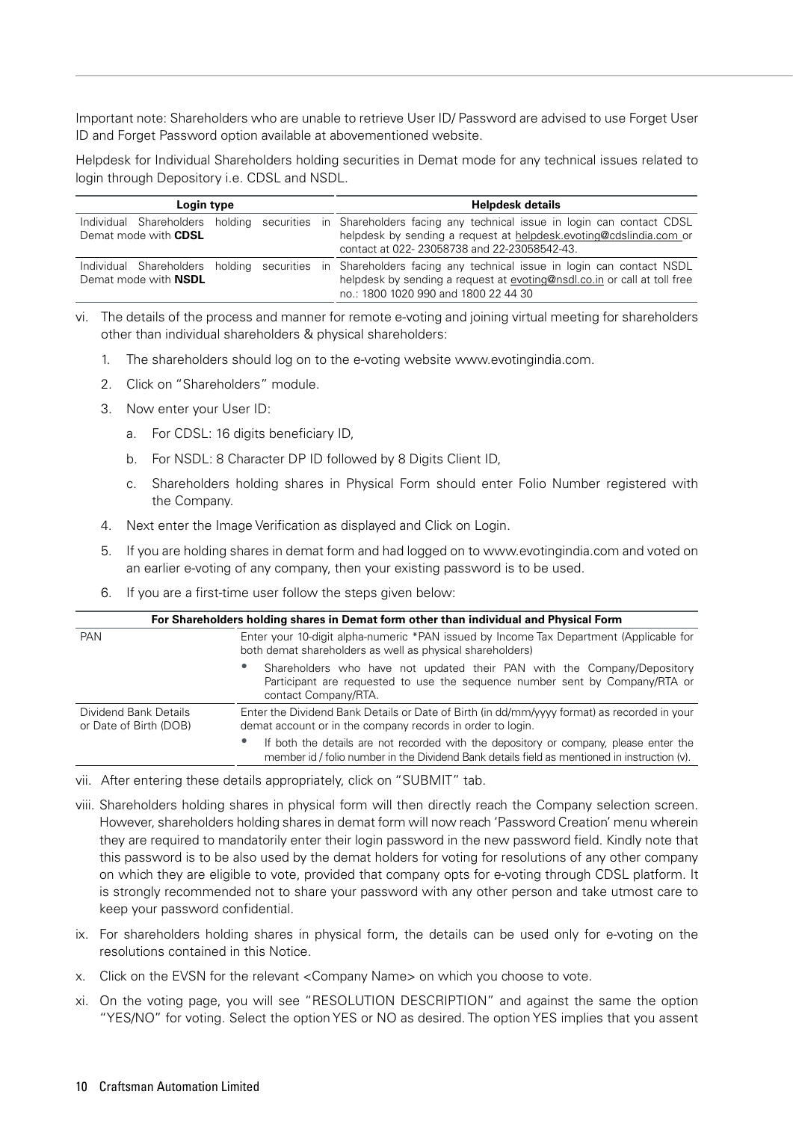Important note: Shareholders who are unable to retrieve User ID/ Password are advised to use Forget User ID and Forget Password option available at abovementioned website.

Helpdesk for Individual Shareholders holding securities in Demat mode for any technical issues related to login through Depository i.e. CDSL and NSDL.

| Login type                  |  | <b>Helpdesk details</b>                                                                                                                                                                                                              |
|-----------------------------|--|--------------------------------------------------------------------------------------------------------------------------------------------------------------------------------------------------------------------------------------|
| Demat mode with CDSL        |  | Individual Shareholders holding securities in Shareholders facing any technical issue in login can contact CDSL<br>helpdesk by sending a request at helpdesk evoting@cdslindia.com or<br>contact at 022-23058738 and 22-23058542-43. |
| Demat mode with <b>NSDL</b> |  | Individual Shareholders holding securities in Shareholders facing any technical issue in login can contact NSDL<br>helpdesk by sending a request at evoting@nsdl.co.in or call at toll free<br>no.: 1800 1020 990 and 1800 22 44 30  |

- vi. The details of the process and manner for remote e-voting and joining virtual meeting for shareholders other than individual shareholders & physical shareholders:
	- 1. The shareholders should log on to the e-voting website www.evotingindia.com.
	- 2. Click on "Shareholders" module.
	- 3. Now enter your User ID:
		- a. For CDSL: 16 digits beneficiary ID,
		- b. For NSDL: 8 Character DP ID followed by 8 Digits Client ID,
		- c. Shareholders holding shares in Physical Form should enter Folio Number registered with the Company.
	- 4. Next enter the Image Verification as displayed and Click on Login.
	- 5. If you are holding shares in demat form and had logged on to www.evotingindia.com and voted on an earlier e-voting of any company, then your existing password is to be used.
	- 6. If you are a first-time user follow the steps given below:

|                                                 | For Shareholders holding shares in Demat form other than individual and Physical Form                                                                                                 |  |  |
|-------------------------------------------------|---------------------------------------------------------------------------------------------------------------------------------------------------------------------------------------|--|--|
| <b>PAN</b>                                      | Enter your 10-digit alpha-numeric *PAN issued by Income Tax Department (Applicable for<br>both demat shareholders as well as physical shareholders)                                   |  |  |
|                                                 | Shareholders who have not updated their PAN with the Company/Depository<br>Participant are requested to use the sequence number sent by Company/RTA or<br>contact Company/RTA.        |  |  |
| Dividend Bank Details<br>or Date of Birth (DOB) | Enter the Dividend Bank Details or Date of Birth (in dd/mm/yyyy format) as recorded in your<br>demat account or in the company records in order to login.                             |  |  |
|                                                 | If both the details are not recorded with the depository or company, please enter the<br>member id / folio number in the Dividend Bank details field as mentioned in instruction (v). |  |  |

- vii. After entering these details appropriately, click on "SUBMIT" tab.
- viii. Shareholders holding shares in physical form will then directly reach the Company selection screen. However, shareholders holding shares in demat form will now reach 'Password Creation' menu wherein they are required to mandatorily enter their login password in the new password field. Kindly note that this password is to be also used by the demat holders for voting for resolutions of any other company on which they are eligible to vote, provided that company opts for e-voting through CDSL platform. It is strongly recommended not to share your password with any other person and take utmost care to keep your password confidential.
- ix. For shareholders holding shares in physical form, the details can be used only for e-voting on the resolutions contained in this Notice.
- x. Click on the EVSN for the relevant <Company Name> on which you choose to vote.
- xi. On the voting page, you will see "RESOLUTION DESCRIPTION" and against the same the option "YES/NO" for voting. Select the option YES or NO as desired. The option YES implies that you assent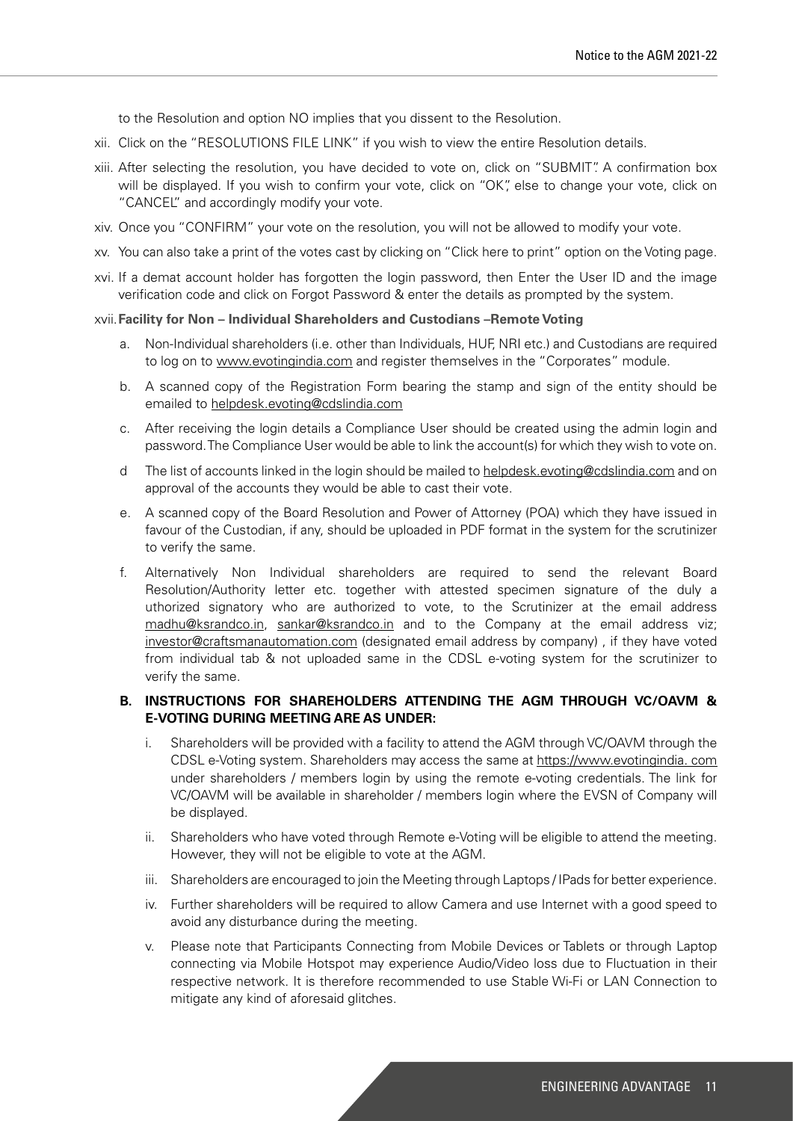to the Resolution and option NO implies that you dissent to the Resolution.

- xii. Click on the "RESOLUTIONS FILE LINK" if you wish to view the entire Resolution details.
- xiii. After selecting the resolution, you have decided to vote on, click on "SUBMIT". A confirmation box will be displayed. If you wish to confirm your vote, click on "OK", else to change your vote, click on "CANCEL" and accordingly modify your vote.
- xiv. Once you "CONFIRM" your vote on the resolution, you will not be allowed to modify your vote.
- xv. You can also take a print of the votes cast by clicking on "Click here to print" option on the Voting page.
- xvi. If a demat account holder has forgotten the login password, then Enter the User ID and the image verification code and click on Forgot Password & enter the details as prompted by the system.

#### xvii.**Facility for Non – Individual Shareholders and Custodians –Remote Voting**

- a. Non-Individual shareholders (i.e. other than Individuals, HUF, NRI etc.) and Custodians are required to log on to www.evotingindia.com and register themselves in the "Corporates" module.
- b. A scanned copy of the Registration Form bearing the stamp and sign of the entity should be emailed to helpdesk.evoting@cdslindia.com
- c. After receiving the login details a Compliance User should be created using the admin login and password. The Compliance User would be able to link the account(s) for which they wish to vote on.
- d The list of accounts linked in the login should be mailed to helpdesk.evoting@cdslindia.com and on approval of the accounts they would be able to cast their vote.
- e. A scanned copy of the Board Resolution and Power of Attorney (POA) which they have issued in favour of the Custodian, if any, should be uploaded in PDF format in the system for the scrutinizer to verify the same.
- f. Alternatively Non Individual shareholders are required to send the relevant Board Resolution/Authority letter etc. together with attested specimen signature of the duly a uthorized signatory who are authorized to vote, to the Scrutinizer at the email address madhu@ksrandco.in, sankar@ksrandco.in and to the Company at the email address viz; investor@craftsmanautomation.com (designated email address by company) , if they have voted from individual tab & not uploaded same in the CDSL e-voting system for the scrutinizer to verify the same.

#### **B. INSTRUCTIONS FOR SHAREHOLDERS ATTENDING THE AGM THROUGH VC/OAVM & E-VOTING DURING MEETING ARE AS UNDER:**

- i. Shareholders will be provided with a facility to attend the AGM through VC/OAVM through the CDSL e-Voting system. Shareholders may access the same at https://www.evotingindia. com under shareholders / members login by using the remote e-voting credentials. The link for VC/OAVM will be available in shareholder / members login where the EVSN of Company will be displayed.
- ii. Shareholders who have voted through Remote e-Voting will be eligible to attend the meeting. However, they will not be eligible to vote at the AGM.
- iii. Shareholders are encouraged to join the Meeting through Laptops / IPads for better experience.
- iv. Further shareholders will be required to allow Camera and use Internet with a good speed to avoid any disturbance during the meeting.
- v. Please note that Participants Connecting from Mobile Devices or Tablets or through Laptop connecting via Mobile Hotspot may experience Audio/Video loss due to Fluctuation in their respective network. It is therefore recommended to use Stable Wi-Fi or LAN Connection to mitigate any kind of aforesaid glitches.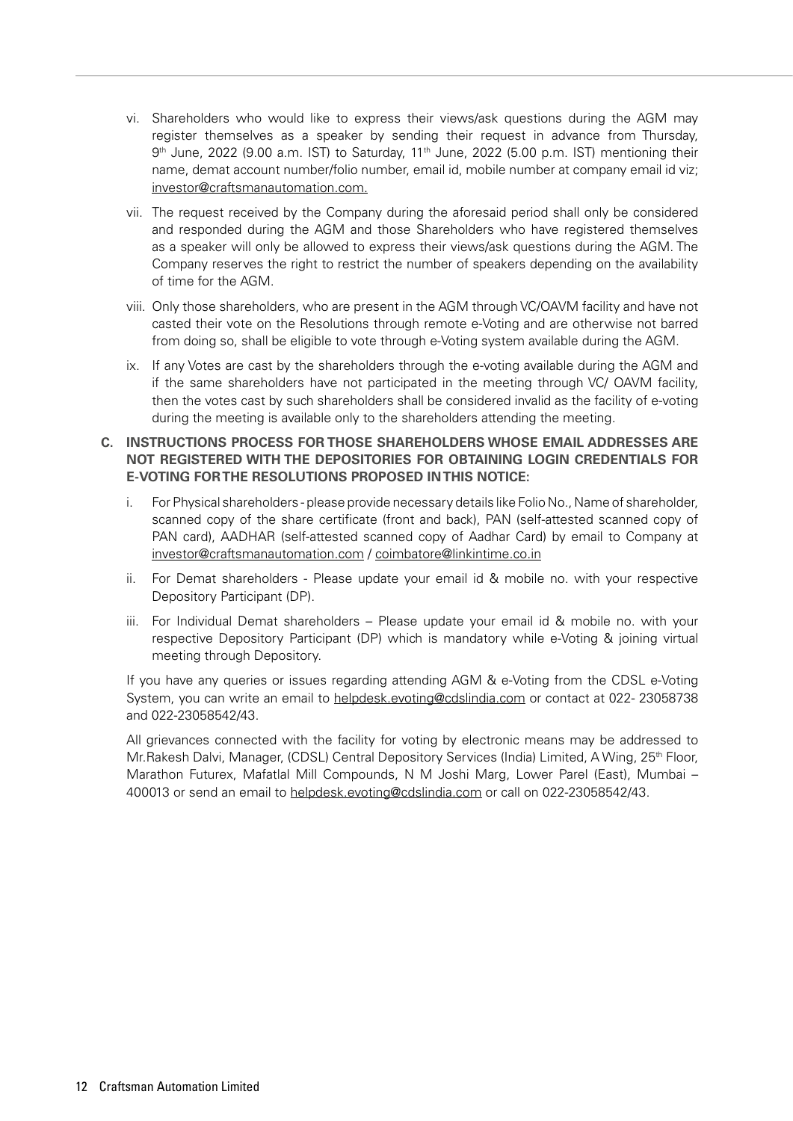- vi. Shareholders who would like to express their views/ask questions during the AGM may register themselves as a speaker by sending their request in advance from Thursday, 9<sup>th</sup> June, 2022 (9.00 a.m. IST) to Saturday, 11<sup>th</sup> June, 2022 (5.00 p.m. IST) mentioning their name, demat account number/folio number, email id, mobile number at company email id viz; investor@craftsmanautomation.com.
- vii. The request received by the Company during the aforesaid period shall only be considered and responded during the AGM and those Shareholders who have registered themselves as a speaker will only be allowed to express their views/ask questions during the AGM. The Company reserves the right to restrict the number of speakers depending on the availability of time for the AGM.
- viii. Only those shareholders, who are present in the AGM through VC/OAVM facility and have not casted their vote on the Resolutions through remote e-Voting and are otherwise not barred from doing so, shall be eligible to vote through e-Voting system available during the AGM.
- ix. If any Votes are cast by the shareholders through the e-voting available during the AGM and if the same shareholders have not participated in the meeting through VC/ OAVM facility, then the votes cast by such shareholders shall be considered invalid as the facility of e-voting during the meeting is available only to the shareholders attending the meeting.

## **C. INSTRUCTIONS PROCESS FOR THOSE SHAREHOLDERS WHOSE EMAIL ADDRESSES ARE NOT REGISTERED WITH THE DEPOSITORIES FOR OBTAINING LOGIN CREDENTIALS FOR E-VOTING FOR THE RESOLUTIONS PROPOSED IN THIS NOTICE:**

- i. For Physical shareholders please provide necessary details like Folio No., Name of shareholder, scanned copy of the share certificate (front and back), PAN (self-attested scanned copy of PAN card), AADHAR (self-attested scanned copy of Aadhar Card) by email to Company at investor@craftsmanautomation.com / coimbatore@linkintime.co.in
- ii. For Demat shareholders Please update your email id & mobile no. with your respective Depository Participant (DP).
- iii. For Individual Demat shareholders Please update your email id & mobile no. with your respective Depository Participant (DP) which is mandatory while e-Voting & joining virtual meeting through Depository.

If you have any queries or issues regarding attending AGM & e-Voting from the CDSL e-Voting System, you can write an email to helpdesk.evoting@cdslindia.com or contact at 022- 23058738 and 022-23058542/43.

All grievances connected with the facility for voting by electronic means may be addressed to Mr.Rakesh Dalvi, Manager, (CDSL) Central Depository Services (India) Limited, A Wing, 25th Floor, Marathon Futurex, Mafatlal Mill Compounds, N M Joshi Marg, Lower Parel (East), Mumbai – 400013 or send an email to helpdesk.evoting@cdslindia.com or call on 022-23058542/43.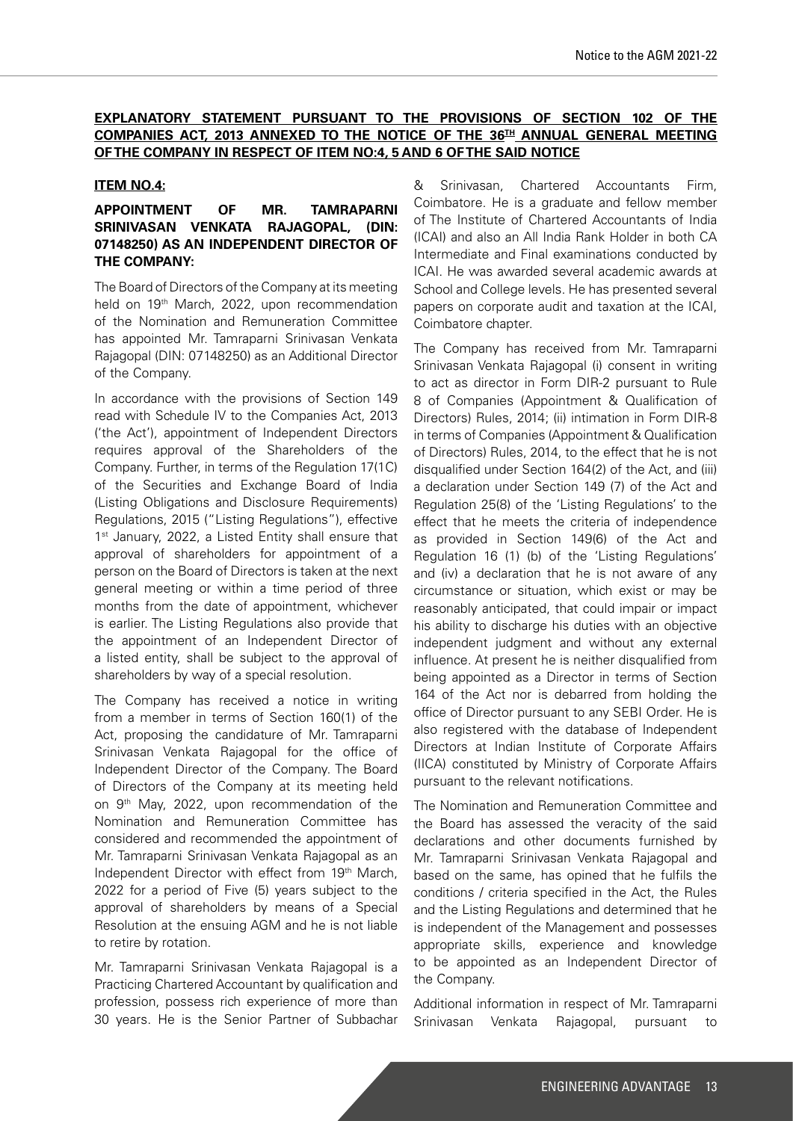## **EXPLANATORY STATEMENT PURSUANT TO THE PROVISIONS OF SECTION 102 OF THE COMPANIES ACT, 2013 ANNEXED TO THE NOTICE OF THE 36TH ANNUAL GENERAL MEETING OF THE COMPANY IN RESPECT OF ITEM NO:4, 5 AND 6 OF THE SAID NOTICE**

#### **ITEM NO.4:**

#### **APPOINTMENT OF MR. TAMRAPARNI SRINIVASAN VENKATA RAJAGOPAL, (DIN: 07148250) AS AN INDEPENDENT DIRECTOR OF THE COMPANY:**

The Board of Directors of the Company at its meeting held on 19<sup>th</sup> March, 2022, upon recommendation of the Nomination and Remuneration Committee has appointed Mr. Tamraparni Srinivasan Venkata Rajagopal (DIN: 07148250) as an Additional Director of the Company.

In accordance with the provisions of Section 149 read with Schedule IV to the Companies Act, 2013 ('the Act'), appointment of Independent Directors requires approval of the Shareholders of the Company. Further, in terms of the Regulation 17(1C) of the Securities and Exchange Board of India (Listing Obligations and Disclosure Requirements) Regulations, 2015 ("Listing Regulations"), effective 1<sup>st</sup> January, 2022, a Listed Entity shall ensure that approval of shareholders for appointment of a person on the Board of Directors is taken at the next general meeting or within a time period of three months from the date of appointment, whichever is earlier. The Listing Regulations also provide that the appointment of an Independent Director of a listed entity, shall be subject to the approval of shareholders by way of a special resolution.

The Company has received a notice in writing from a member in terms of Section 160(1) of the Act, proposing the candidature of Mr. Tamraparni Srinivasan Venkata Rajagopal for the office of Independent Director of the Company. The Board of Directors of the Company at its meeting held on 9th May, 2022, upon recommendation of the Nomination and Remuneration Committee has considered and recommended the appointment of Mr. Tamraparni Srinivasan Venkata Rajagopal as an Independent Director with effect from 19<sup>th</sup> March, 2022 for a period of Five (5) years subject to the approval of shareholders by means of a Special Resolution at the ensuing AGM and he is not liable to retire by rotation.

Mr. Tamraparni Srinivasan Venkata Rajagopal is a Practicing Chartered Accountant by qualification and profession, possess rich experience of more than 30 years. He is the Senior Partner of Subbachar

& Srinivasan, Chartered Accountants Firm, Coimbatore. He is a graduate and fellow member of The Institute of Chartered Accountants of India (ICAI) and also an All India Rank Holder in both CA Intermediate and Final examinations conducted by ICAI. He was awarded several academic awards at School and College levels. He has presented several papers on corporate audit and taxation at the ICAI, Coimbatore chapter.

The Company has received from Mr. Tamraparni Srinivasan Venkata Rajagopal (i) consent in writing to act as director in Form DIR-2 pursuant to Rule 8 of Companies (Appointment & Qualification of Directors) Rules, 2014; (ii) intimation in Form DIR-8 in terms of Companies (Appointment & Qualification of Directors) Rules, 2014, to the effect that he is not disqualified under Section 164(2) of the Act, and (iii) a declaration under Section 149 (7) of the Act and Regulation 25(8) of the 'Listing Regulations' to the effect that he meets the criteria of independence as provided in Section 149(6) of the Act and Regulation 16 (1) (b) of the 'Listing Regulations' and (iv) a declaration that he is not aware of any circumstance or situation, which exist or may be reasonably anticipated, that could impair or impact his ability to discharge his duties with an objective independent judgment and without any external influence. At present he is neither disqualified from being appointed as a Director in terms of Section 164 of the Act nor is debarred from holding the office of Director pursuant to any SEBI Order. He is also registered with the database of Independent Directors at Indian Institute of Corporate Affairs (IICA) constituted by Ministry of Corporate Affairs pursuant to the relevant notifications.

The Nomination and Remuneration Committee and the Board has assessed the veracity of the said declarations and other documents furnished by Mr. Tamraparni Srinivasan Venkata Rajagopal and based on the same, has opined that he fulfils the conditions / criteria specified in the Act, the Rules and the Listing Regulations and determined that he is independent of the Management and possesses appropriate skills, experience and knowledge to be appointed as an Independent Director of the Company.

Additional information in respect of Mr. Tamraparni Srinivasan Venkata Rajagopal, pursuant to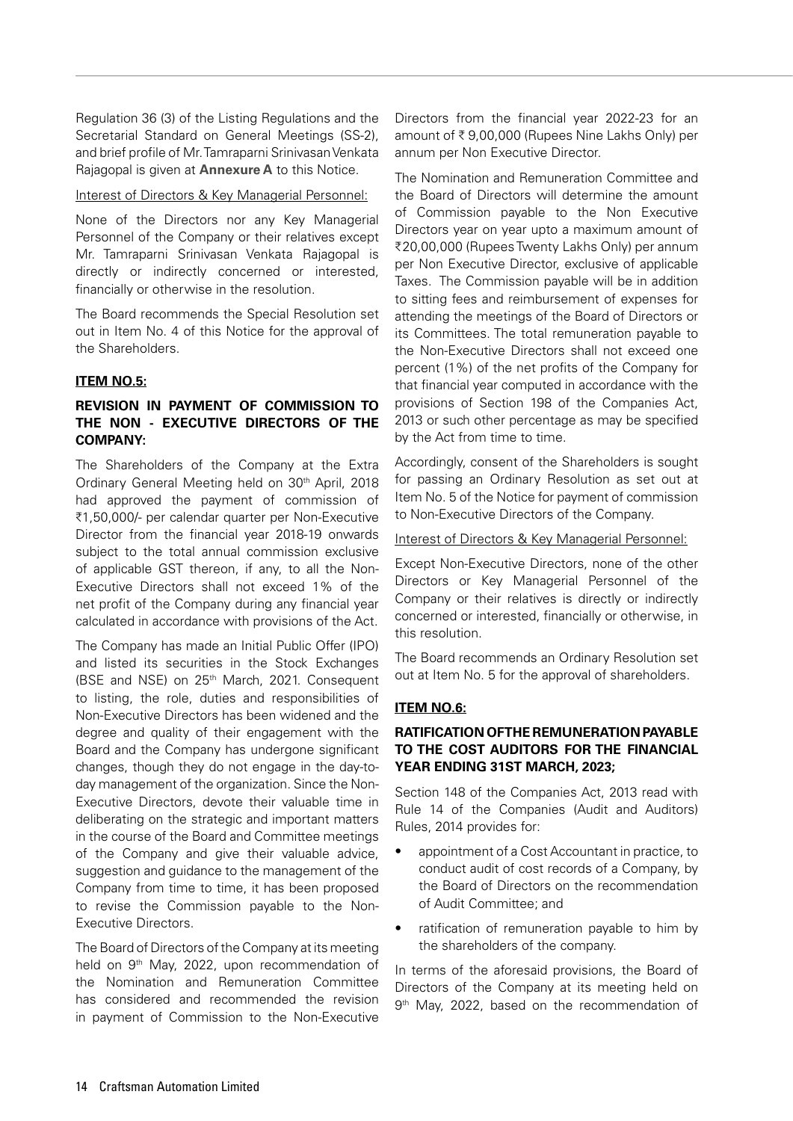Regulation 36 (3) of the Listing Regulations and the Secretarial Standard on General Meetings (SS-2), and brief profile of Mr. Tamraparni Srinivasan Venkata Rajagopal is given at **Annexure A** to this Notice.

#### Interest of Directors & Key Managerial Personnel:

None of the Directors nor any Key Managerial Personnel of the Company or their relatives except Mr. Tamraparni Srinivasan Venkata Rajagopal is directly or indirectly concerned or interested, financially or otherwise in the resolution.

The Board recommends the Special Resolution set out in Item No. 4 of this Notice for the approval of the Shareholders.

#### **ITEM NO.5:**

## **REVISION IN PAYMENT OF COMMISSION TO THE NON - EXECUTIVE DIRECTORS OF THE COMPANY:**

The Shareholders of the Company at the Extra Ordinary General Meeting held on 30<sup>th</sup> April, 2018 had approved the payment of commission of ₹1,50,000/- per calendar quarter per Non-Executive Director from the financial year 2018-19 onwards subject to the total annual commission exclusive of applicable GST thereon, if any, to all the Non-Executive Directors shall not exceed 1% of the net profit of the Company during any financial year calculated in accordance with provisions of the Act.

The Company has made an Initial Public Offer (IPO) and listed its securities in the Stock Exchanges (BSE and NSE) on 25th March, 2021. Consequent to listing, the role, duties and responsibilities of Non-Executive Directors has been widened and the degree and quality of their engagement with the Board and the Company has undergone significant changes, though they do not engage in the day-today management of the organization. Since the Non-Executive Directors, devote their valuable time in deliberating on the strategic and important matters in the course of the Board and Committee meetings of the Company and give their valuable advice, suggestion and guidance to the management of the Company from time to time, it has been proposed to revise the Commission payable to the Non-Executive Directors.

The Board of Directors of the Company at its meeting held on 9<sup>th</sup> May, 2022, upon recommendation of the Nomination and Remuneration Committee has considered and recommended the revision in payment of Commission to the Non-Executive

Directors from the financial year 2022-23 for an amount of  $\bar{\tau}$  9,00,000 (Rupees Nine Lakhs Only) per annum per Non Executive Director.

The Nomination and Remuneration Committee and the Board of Directors will determine the amount of Commission payable to the Non Executive Directors year on year upto a maximum amount of ₹20,00,000 (Rupees Twenty Lakhs Only) per annum per Non Executive Director, exclusive of applicable Taxes. The Commission payable will be in addition to sitting fees and reimbursement of expenses for attending the meetings of the Board of Directors or its Committees. The total remuneration payable to the Non-Executive Directors shall not exceed one percent (1%) of the net profits of the Company for that financial year computed in accordance with the provisions of Section 198 of the Companies Act, 2013 or such other percentage as may be specified by the Act from time to time.

Accordingly, consent of the Shareholders is sought for passing an Ordinary Resolution as set out at Item No. 5 of the Notice for payment of commission to Non-Executive Directors of the Company.

#### Interest of Directors & Key Managerial Personnel:

Except Non-Executive Directors, none of the other Directors or Key Managerial Personnel of the Company or their relatives is directly or indirectly concerned or interested, financially or otherwise, in this resolution.

The Board recommends an Ordinary Resolution set out at Item No. 5 for the approval of shareholders.

#### **ITEM NO.6:**

#### **RATIFICATION OF THE REMUNERATION PAYABLE TO THE COST AUDITORS FOR THE FINANCIAL YEAR ENDING 31ST MARCH, 2023;**

Section 148 of the Companies Act, 2013 read with Rule 14 of the Companies (Audit and Auditors) Rules, 2014 provides for:

- appointment of a Cost Accountant in practice, to conduct audit of cost records of a Company, by the Board of Directors on the recommendation of Audit Committee; and
- ratification of remuneration payable to him by the shareholders of the company.

In terms of the aforesaid provisions, the Board of Directors of the Company at its meeting held on 9<sup>th</sup> May, 2022, based on the recommendation of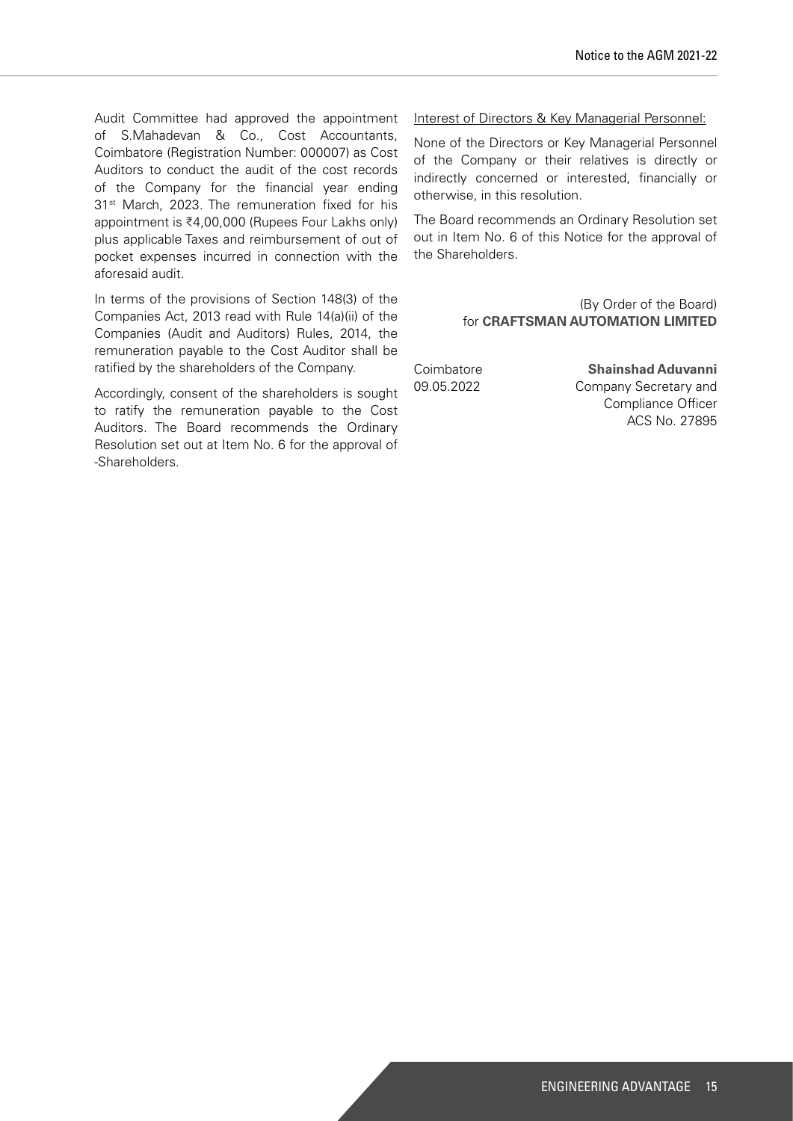Audit Committee had approved the appointment of S.Mahadevan & Co., Cost Accountants, Coimbatore (Registration Number: 000007) as Cost Auditors to conduct the audit of the cost records of the Company for the financial year ending 31<sup>st</sup> March, 2023. The remuneration fixed for his appointment is  $\overline{6}4,00,000$  (Rupees Four Lakhs only) plus applicable Taxes and reimbursement of out of pocket expenses incurred in connection with the aforesaid audit.

In terms of the provisions of Section 148(3) of the Companies Act, 2013 read with Rule 14(a)(ii) of the Companies (Audit and Auditors) Rules, 2014, the remuneration payable to the Cost Auditor shall be ratified by the shareholders of the Company.

Accordingly, consent of the shareholders is sought to ratify the remuneration payable to the Cost Auditors. The Board recommends the Ordinary Resolution set out at Item No. 6 for the approval of -Shareholders.

#### Interest of Directors & Key Managerial Personnel:

None of the Directors or Key Managerial Personnel of the Company or their relatives is directly or indirectly concerned or interested, financially or otherwise, in this resolution.

The Board recommends an Ordinary Resolution set out in Item No. 6 of this Notice for the approval of the Shareholders.

> (By Order of the Board) for **CRAFTSMAN AUTOMATION LIMITED**

Coimbatore **Shainshad Aduvanni** 09.05.2022 Company Secretary and Compliance Officer ACS No. 27895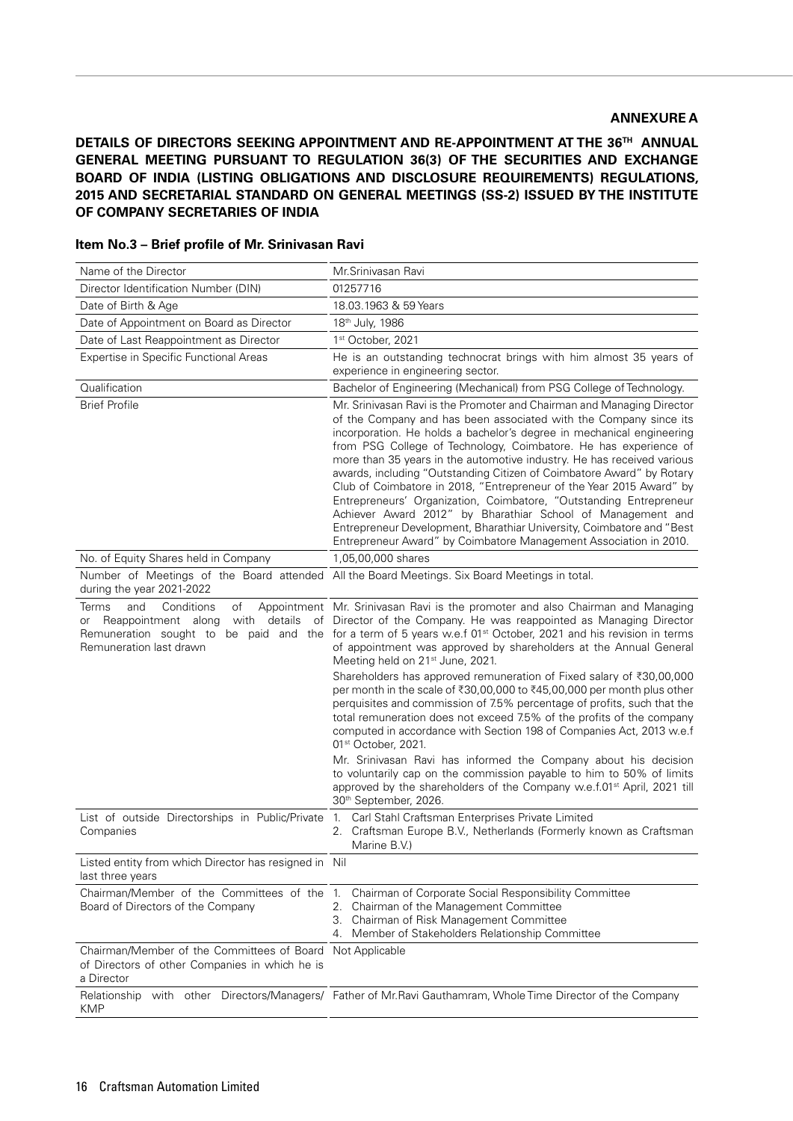#### **ANNEXURE A**

**DETAILS OF DIRECTORS SEEKING APPOINTMENT AND RE-APPOINTMENT AT THE 36TH ANNUAL GENERAL MEETING PURSUANT TO REGULATION 36(3) OF THE SECURITIES AND EXCHANGE BOARD OF INDIA (LISTING OBLIGATIONS AND DISCLOSURE REQUIREMENTS) REGULATIONS, 2015 AND SECRETARIAL STANDARD ON GENERAL MEETINGS (SS-2) ISSUED BY THE INSTITUTE OF COMPANY SECRETARIES OF INDIA**

| Name of the Director                                                                                            | Mr.Srinivasan Ravi                                                                                                                                                                                                                                                                                                                                                                                                                                                                                                                                                                                                                                                                                                                                                                                     |
|-----------------------------------------------------------------------------------------------------------------|--------------------------------------------------------------------------------------------------------------------------------------------------------------------------------------------------------------------------------------------------------------------------------------------------------------------------------------------------------------------------------------------------------------------------------------------------------------------------------------------------------------------------------------------------------------------------------------------------------------------------------------------------------------------------------------------------------------------------------------------------------------------------------------------------------|
| Director Identification Number (DIN)                                                                            | 01257716                                                                                                                                                                                                                                                                                                                                                                                                                                                                                                                                                                                                                                                                                                                                                                                               |
| Date of Birth & Age                                                                                             | 18.03.1963 & 59 Years                                                                                                                                                                                                                                                                                                                                                                                                                                                                                                                                                                                                                                                                                                                                                                                  |
| Date of Appointment on Board as Director                                                                        | 18th July, 1986                                                                                                                                                                                                                                                                                                                                                                                                                                                                                                                                                                                                                                                                                                                                                                                        |
| Date of Last Reappointment as Director                                                                          | 1st October, 2021                                                                                                                                                                                                                                                                                                                                                                                                                                                                                                                                                                                                                                                                                                                                                                                      |
| <b>Expertise in Specific Functional Areas</b>                                                                   | He is an outstanding technocrat brings with him almost 35 years of<br>experience in engineering sector.                                                                                                                                                                                                                                                                                                                                                                                                                                                                                                                                                                                                                                                                                                |
| Qualification                                                                                                   | Bachelor of Engineering (Mechanical) from PSG College of Technology.                                                                                                                                                                                                                                                                                                                                                                                                                                                                                                                                                                                                                                                                                                                                   |
| <b>Brief Profile</b>                                                                                            | Mr. Srinivasan Ravi is the Promoter and Chairman and Managing Director<br>of the Company and has been associated with the Company since its<br>incorporation. He holds a bachelor's degree in mechanical engineering<br>from PSG College of Technology, Coimbatore. He has experience of<br>more than 35 years in the automotive industry. He has received various<br>awards, including "Outstanding Citizen of Coimbatore Award" by Rotary<br>Club of Coimbatore in 2018, "Entrepreneur of the Year 2015 Award" by<br>Entrepreneurs' Organization, Coimbatore, "Outstanding Entrepreneur<br>Achiever Award 2012" by Bharathiar School of Management and<br>Entrepreneur Development, Bharathiar University, Coimbatore and "Best<br>Entrepreneur Award" by Coimbatore Management Association in 2010. |
| No. of Equity Shares held in Company                                                                            | 1,05,00,000 shares                                                                                                                                                                                                                                                                                                                                                                                                                                                                                                                                                                                                                                                                                                                                                                                     |
| during the year 2021-2022                                                                                       | Number of Meetings of the Board attended All the Board Meetings. Six Board Meetings in total.                                                                                                                                                                                                                                                                                                                                                                                                                                                                                                                                                                                                                                                                                                          |
| <b>Terms</b><br>Conditions<br>and<br>of<br>with details<br>Reappointment along<br>or<br>Remuneration last drawn | Appointment Mr. Srinivasan Ravi is the promoter and also Chairman and Managing<br>of Director of the Company. He was reappointed as Managing Director<br>Remuneration sought to be paid and the for a term of 5 years w.e.f 01 <sup>st</sup> October, 2021 and his revision in terms<br>of appointment was approved by shareholders at the Annual General<br>Meeting held on 21 <sup>st</sup> June, 2021.<br>Shareholders has approved remuneration of Fixed salary of ₹30,00,000<br>per month in the scale of ₹30,00,000 to ₹45,00,000 per month plus other<br>perquisites and commission of 7.5% percentage of profits, such that the                                                                                                                                                                |
|                                                                                                                 | total remuneration does not exceed 7.5% of the profits of the company<br>computed in accordance with Section 198 of Companies Act, 2013 w.e.f<br>01 <sup>st</sup> October, 2021.                                                                                                                                                                                                                                                                                                                                                                                                                                                                                                                                                                                                                       |
|                                                                                                                 | Mr. Srinivasan Ravi has informed the Company about his decision<br>to voluntarily cap on the commission payable to him to 50% of limits<br>approved by the shareholders of the Company w.e.f.01 <sup>st</sup> April, 2021 till<br>30th September, 2026.                                                                                                                                                                                                                                                                                                                                                                                                                                                                                                                                                |
| List of outside Directorships in Public/Private<br>Companies                                                    | Carl Stahl Craftsman Enterprises Private Limited<br>1.<br>2. Craftsman Europe B.V., Netherlands (Formerly known as Craftsman<br>Marine B.V.)                                                                                                                                                                                                                                                                                                                                                                                                                                                                                                                                                                                                                                                           |
| Listed entity from which Director has resigned in Nil<br>last three years                                       |                                                                                                                                                                                                                                                                                                                                                                                                                                                                                                                                                                                                                                                                                                                                                                                                        |
| Chairman/Member of the Committees of the 1.<br>Board of Directors of the Company                                | Chairman of Corporate Social Responsibility Committee<br>2. Chairman of the Management Committee<br>3. Chairman of Risk Management Committee<br>4. Member of Stakeholders Relationship Committee                                                                                                                                                                                                                                                                                                                                                                                                                                                                                                                                                                                                       |
| Chairman/Member of the Committees of Board<br>of Directors of other Companies in which he is<br>a Director      | Not Applicable                                                                                                                                                                                                                                                                                                                                                                                                                                                                                                                                                                                                                                                                                                                                                                                         |
| <b>KMP</b>                                                                                                      | Relationship with other Directors/Managers/ Father of Mr. Ravi Gauthamram, Whole Time Director of the Company                                                                                                                                                                                                                                                                                                                                                                                                                                                                                                                                                                                                                                                                                          |

**Item No.3 – Brief profile of Mr. Srinivasan Ravi**